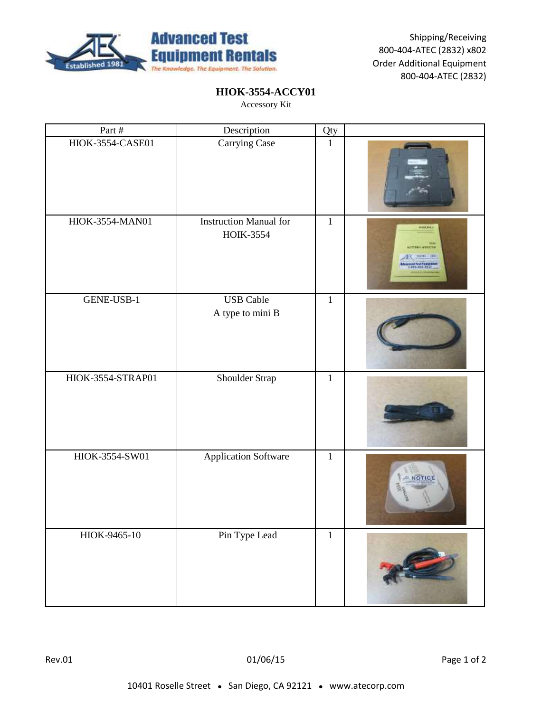

## **HIOK-3554-ACCY01**

| Part #            | Description                                       | Qty          |                                                  |
|-------------------|---------------------------------------------------|--------------|--------------------------------------------------|
| HIOK-3554-CASE01  | Carrying Case                                     | $\mathbf{1}$ |                                                  |
| HIOK-3554-MAN01   | <b>Instruction Manual for</b><br><b>HOIK-3554</b> | $\mathbf{1}$ | <b>FEIGHER</b><br>3144<br><b>ACTEMY OFFICERS</b> |
| GENE-USB-1        | <b>USB</b> Cable<br>A type to mini B              | $\mathbf{1}$ |                                                  |
| HIOK-3554-STRAP01 | Shoulder Strap                                    | $\mathbf{1}$ |                                                  |
| HIOK-3554-SW01    | <b>Application Software</b>                       | $\mathbf 1$  | otic                                             |
| HIOK-9465-10      | Pin Type Lead                                     | $\mathbf{1}$ |                                                  |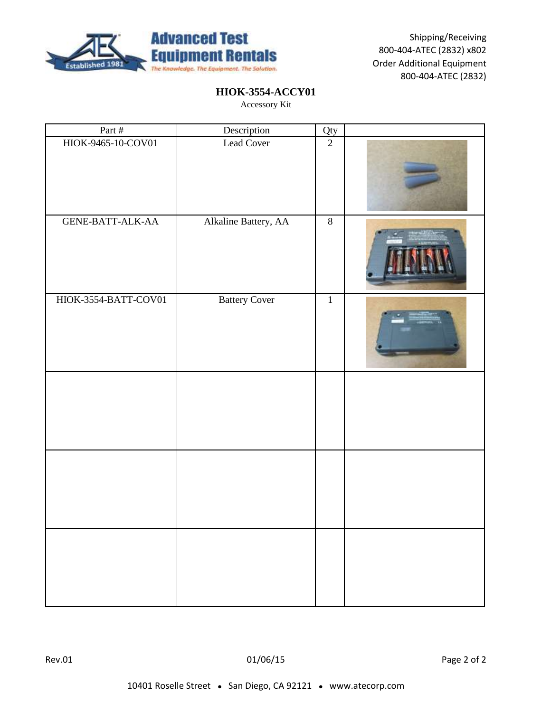

## **HIOK-3554-ACCY01**

| Part #                  | Description          | Qty            |  |
|-------------------------|----------------------|----------------|--|
| HIOK-9465-10-COV01      | Lead Cover           | $\overline{2}$ |  |
| <b>GENE-BATT-ALK-AA</b> | Alkaline Battery, AA | $\overline{8}$ |  |
| HIOK-3554-BATT-COV01    | <b>Battery Cover</b> | $\mathbf 1$    |  |
|                         |                      |                |  |
|                         |                      |                |  |
|                         |                      |                |  |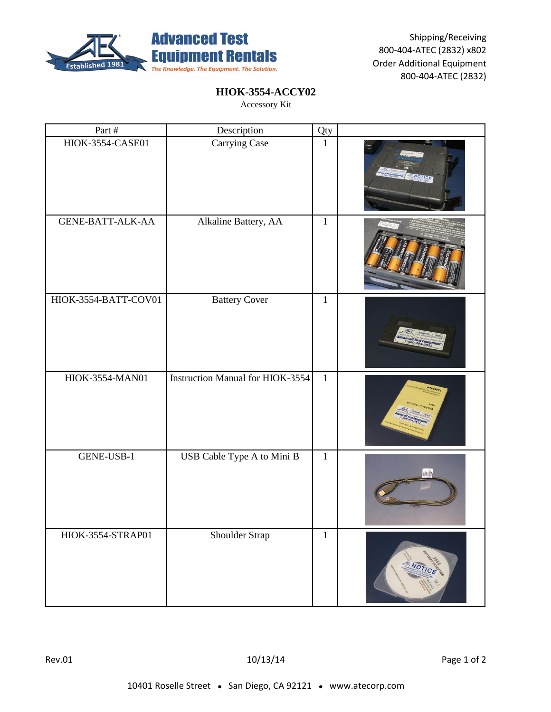

## **HIOK-3554-ACCY02**

| Part #                  | Description                      | Qty          |               |
|-------------------------|----------------------------------|--------------|---------------|
| HIOK-3554-CASE01        | Carrying Case                    | $\mathbf{1}$ | <b>NOTIGE</b> |
| <b>GENE-BATT-ALK-AA</b> | Alkaline Battery, AA             | $\mathbf{1}$ |               |
| HIOK-3554-BATT-COV01    | <b>Battery Cover</b>             | $\mathbf{1}$ |               |
| HIOK-3554-MAN01         | Instruction Manual for HIOK-3554 | $\mathbf{1}$ |               |
| GENE-USB-1              | USB Cable Type A to Mini B       | $\mathbf 1$  |               |
| HIOK-3554-STRAP01       | Shoulder Strap                   | $\,1\,$      | NOTIC         |